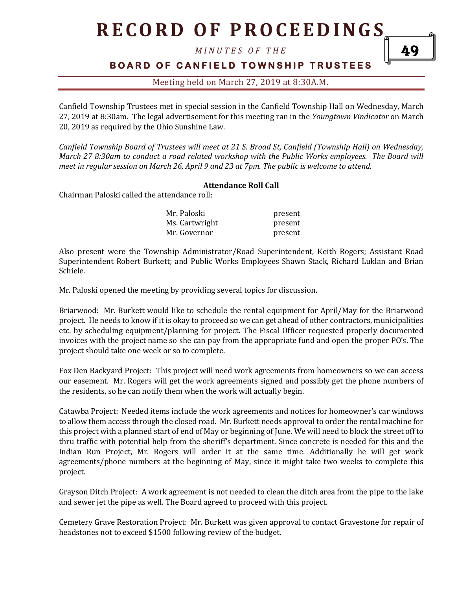# **R E C O R D O F P R O C E E D I N GS**

*M I N U T E S O F T H E* 

### **BOARD OF CANFIELD TOWNSHIP TRUSTEES**

49

### Meeting held on March 27, 2019 at 8:30A.M**.**

Canfield Township Trustees met in special session in the Canfield Township Hall on Wednesday, March 27, 2019 at 8:30am. The legal advertisement for this meeting ran in the *Youngtown Vindicator* on March 20, 2019 as required by the Ohio Sunshine Law.

*Canfield Township Board of Trustees will meet at 21 S. Broad St, Canfield (Township Hall) on Wednesday, March 27 8:30am to conduct a road related workshop with the Public Works employees. The Board will meet in regular session on March 26, April 9 and 23 at 7pm. The public is welcome to attend.*

#### **Attendance Roll Call**

Chairman Paloski called the attendance roll:

| Mr. Paloski    | present |
|----------------|---------|
| Ms. Cartwright | present |
| Mr. Governor   | present |

Also present were the Township Administrator/Road Superintendent, Keith Rogers; Assistant Road Superintendent Robert Burkett; and Public Works Employees Shawn Stack, Richard Luklan and Brian Schiele.

Mr. Paloski opened the meeting by providing several topics for discussion.

Briarwood: Mr. Burkett would like to schedule the rental equipment for April/May for the Briarwood project. He needs to know if it is okay to proceed so we can get ahead of other contractors, municipalities etc. by scheduling equipment/planning for project. The Fiscal Officer requested properly documented invoices with the project name so she can pay from the appropriate fund and open the proper PO's. The project should take one week or so to complete.

Fox Den Backyard Project: This project will need work agreements from homeowners so we can access our easement. Mr. Rogers will get the work agreements signed and possibly get the phone numbers of the residents, so he can notify them when the work will actually begin.

Catawba Project: Needed items include the work agreements and notices for homeowner's car windows to allow them access through the closed road. Mr. Burkett needs approval to order the rental machine for this project with a planned start of end of May or beginning of June. We will need to block the street off to thru traffic with potential help from the sheriff's department. Since concrete is needed for this and the Indian Run Project, Mr. Rogers will order it at the same time. Additionally he will get work agreements/phone numbers at the beginning of May, since it might take two weeks to complete this project.

Grayson Ditch Project: A work agreement is not needed to clean the ditch area from the pipe to the lake and sewer jet the pipe as well. The Board agreed to proceed with this project.

Cemetery Grave Restoration Project: Mr. Burkett was given approval to contact Gravestone for repair of headstones not to exceed \$1500 following review of the budget.